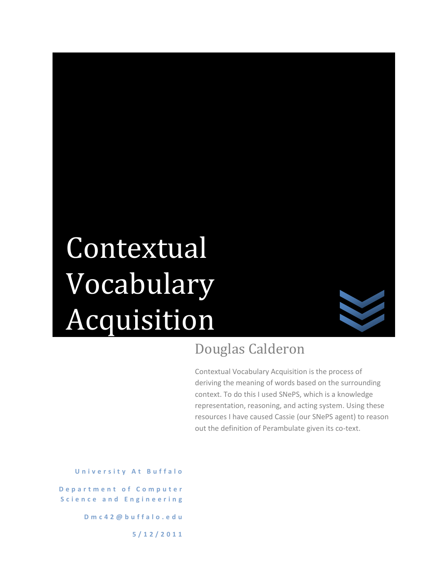## **Contextual** Vocabulary Acquisition

## Douglas Calderon

Contextual Vocabulary Acquisition is the process of deriving the meaning of words based on the surrounding context. To do this I used SNePS, which is a knowledge representation, reasoning, and acting system. Using these resources I have caused Cassie (our SNePS agent) to reason out the definition of Perambulate given its co-text.

**U n i v e r s i t y A t B u f f a l o**

**D e p a r t m e n t o f C o m p u t e r S c i e n c e a n d E n g i n e e r i n g**

**D m c 4 2 @ b u f f a l o . e d u**

**5 / 1 2 / 2 0 1 1**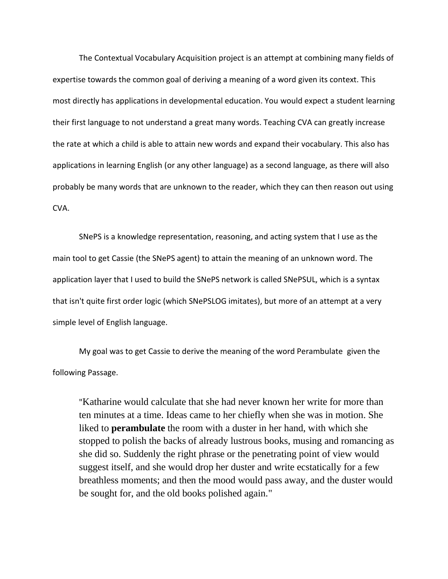The Contextual Vocabulary Acquisition project is an attempt at combining many fields of expertise towards the common goal of deriving a meaning of a word given its context. This most directly has applications in developmental education. You would expect a student learning their first language to not understand a great many words. Teaching CVA can greatly increase the rate at which a child is able to attain new words and expand their vocabulary. This also has applications in learning English (or any other language) as a second language, as there will also probably be many words that are unknown to the reader, which they can then reason out using CVA.

SNePS is a knowledge representation, reasoning, and acting system that I use as the main tool to get Cassie (the SNePS agent) to attain the meaning of an unknown word. The application layer that I used to build the SNePS network is called SNePSUL, which is a syntax that isn't quite first order logic (which SNePSLOG imitates), but more of an attempt at a very simple level of English language.

My goal was to get Cassie to derive the meaning of the word Perambulate given the following Passage.

"Katharine would calculate that she had never known her write for more than ten minutes at a time. Ideas came to her chiefly when she was in motion. She liked to **perambulate** the room with a duster in her hand, with which she stopped to polish the backs of already lustrous books, musing and romancing as she did so. Suddenly the right phrase or the penetrating point of view would suggest itself, and she would drop her duster and write ecstatically for a few breathless moments; and then the mood would pass away, and the duster would be sought for, and the old books polished again."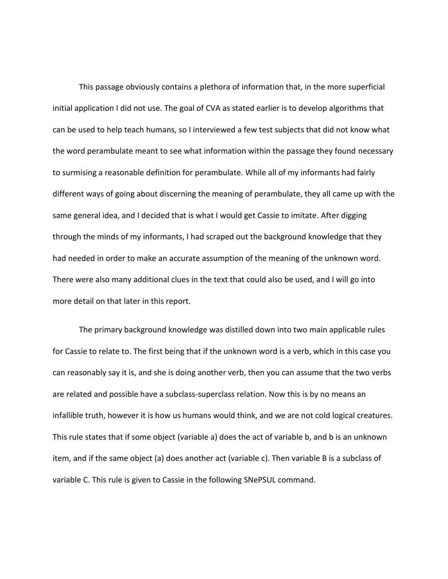This passage obviously contains a plethora of information that, in the more superficial initial application I did not use. The goal of CVA as stated earlier is to develop algorithms that can be used to help teach humans, so I interviewed a few test subjects that did not know what the word perambulate meant to see what information within the passage they found necessary to surmising a reasonable definition for perambulate. While all of my informants had fairly different ways of going about discerning the meaning of perambulate, they all came up with the same general idea, and I decided that is what I would get Cassie to imitate. After digging through the minds of my informants, I had scraped out the background knowledge that they had needed in order to make an accurate assumption of the meaning of the unknown word. There were also many additional clues in the text that could also be used, and I will go into more detail on that later in this report.

The primary background knowledge was distilled down into two main applicable rules for Cassie to relate to. The first being that if the unknown word is a verb, which in this case you can reasonably say it is, and she is doing another verb, then you can assume that the two verbs are related and possible have a subclass-superclass relation. Now this is by no means an infallible truth, however it is how us humans would think, and we are not cold logical creatures. This rule states that if some object (variable a) does the act of variable b, and b is an unknown item, and if the same object (a) does another act (variable c). Then variable B is a subclass of variable C. This rule is given to Cassie in the following SNePSUL command.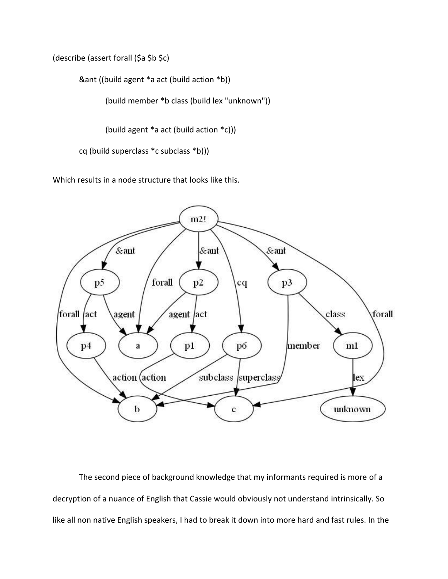(describe (assert forall (\$a \$b \$c)

&ant ((build agent \*a act (build action \*b))

(build member \*b class (build lex "unknown"))

(build agent \*a act (build action \*c)))

cq (build superclass \*c subclass \*b)))

Which results in a node structure that looks like this.



The second piece of background knowledge that my informants required is more of a decryption of a nuance of English that Cassie would obviously not understand intrinsically. So like all non native English speakers, I had to break it down into more hard and fast rules. In the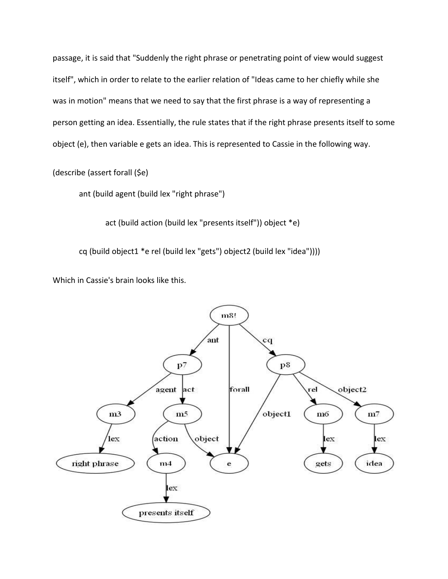passage, it is said that "Suddenly the right phrase or penetrating point of view would suggest itself", which in order to relate to the earlier relation of "Ideas came to her chiefly while she was in motion" means that we need to say that the first phrase is a way of representing a person getting an idea. Essentially, the rule states that if the right phrase presents itself to some object (e), then variable e gets an idea. This is represented to Cassie in the following way.

(describe (assert forall (\$e)

ant (build agent (build lex "right phrase")

act (build action (build lex "presents itself")) object \*e)

cq (build object1 \*e rel (build lex "gets") object2 (build lex "idea"))))

Which in Cassie's brain looks like this.

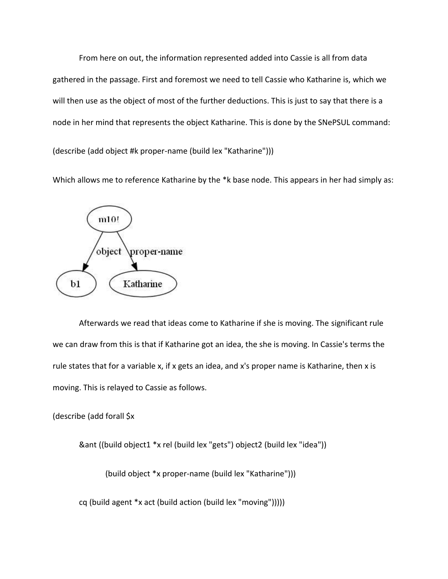From here on out, the information represented added into Cassie is all from data gathered in the passage. First and foremost we need to tell Cassie who Katharine is, which we will then use as the object of most of the further deductions. This is just to say that there is a node in her mind that represents the object Katharine. This is done by the SNePSUL command:

(describe (add object #k proper-name (build lex "Katharine")))

Which allows me to reference Katharine by the \*k base node. This appears in her had simply as:



Afterwards we read that ideas come to Katharine if she is moving. The significant rule we can draw from this is that if Katharine got an idea, the she is moving. In Cassie's terms the rule states that for a variable x, if x gets an idea, and x's proper name is Katharine, then x is moving. This is relayed to Cassie as follows.

(describe (add forall \$x

&ant ((build object1 \*x rel (build lex "gets") object2 (build lex "idea"))

(build object \*x proper-name (build lex "Katharine")))

cq (build agent \*x act (build action (build lex "moving")))))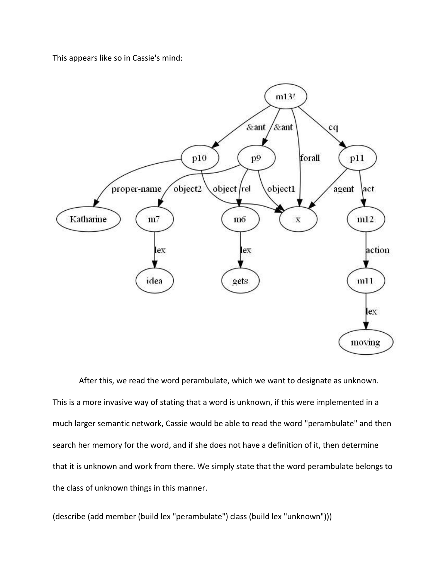This appears like so in Cassie's mind:



After this, we read the word perambulate, which we want to designate as unknown. This is a more invasive way of stating that a word is unknown, if this were implemented in a much larger semantic network, Cassie would be able to read the word "perambulate" and then search her memory for the word, and if she does not have a definition of it, then determine that it is unknown and work from there. We simply state that the word perambulate belongs to the class of unknown things in this manner.

(describe (add member (build lex "perambulate") class (build lex "unknown")))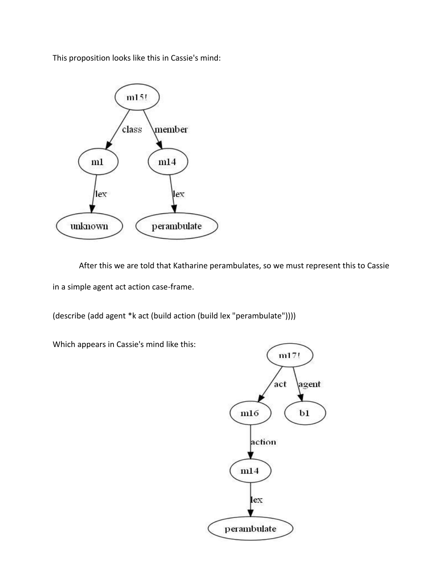This proposition looks like this in Cassie's mind:



After this we are told that Katharine perambulates, so we must represent this to Cassie in a simple agent act action case-frame.

(describe (add agent \*k act (build action (build lex "perambulate"))))

Which appears in Cassie's mind like this:

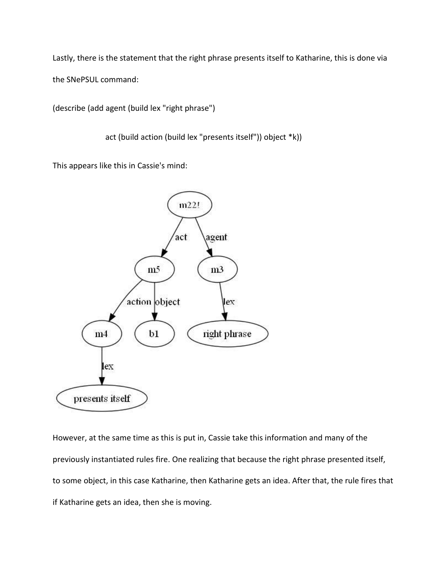Lastly, there is the statement that the right phrase presents itself to Katharine, this is done via the SNePSUL command:

(describe (add agent (build lex "right phrase")

act (build action (build lex "presents itself")) object \*k))

This appears like this in Cassie's mind:



However, at the same time as this is put in, Cassie take this information and many of the previously instantiated rules fire. One realizing that because the right phrase presented itself, to some object, in this case Katharine, then Katharine gets an idea. After that, the rule fires that if Katharine gets an idea, then she is moving.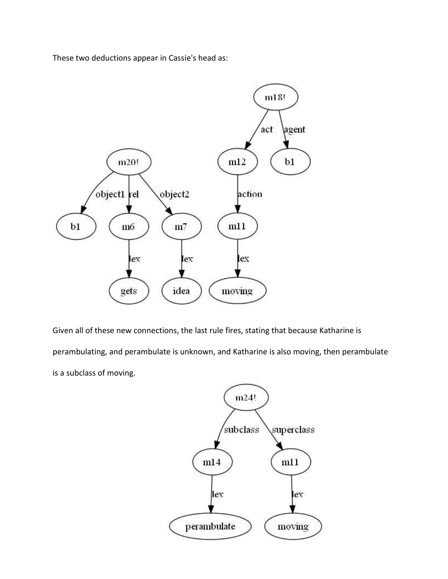These two deductions appear in Cassie's head as:



Given all of these new connections, the last rule fires, stating that because Katharine is perambulating, and perambulate is unknown, and Katharine is also moving, then perambulate is a subclass of moving.

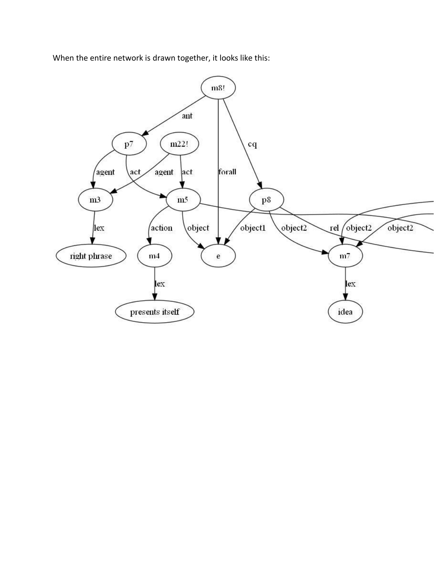When the entire network is drawn together, it looks like this:

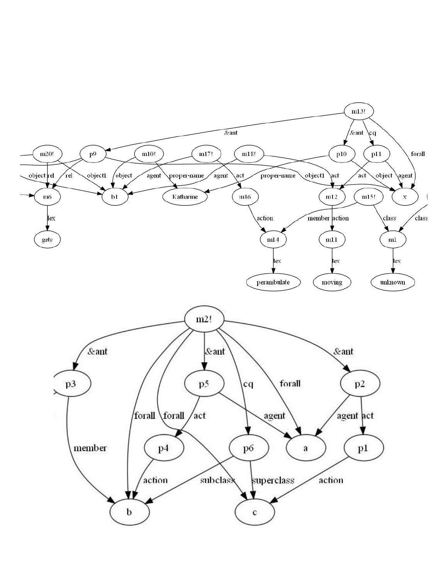